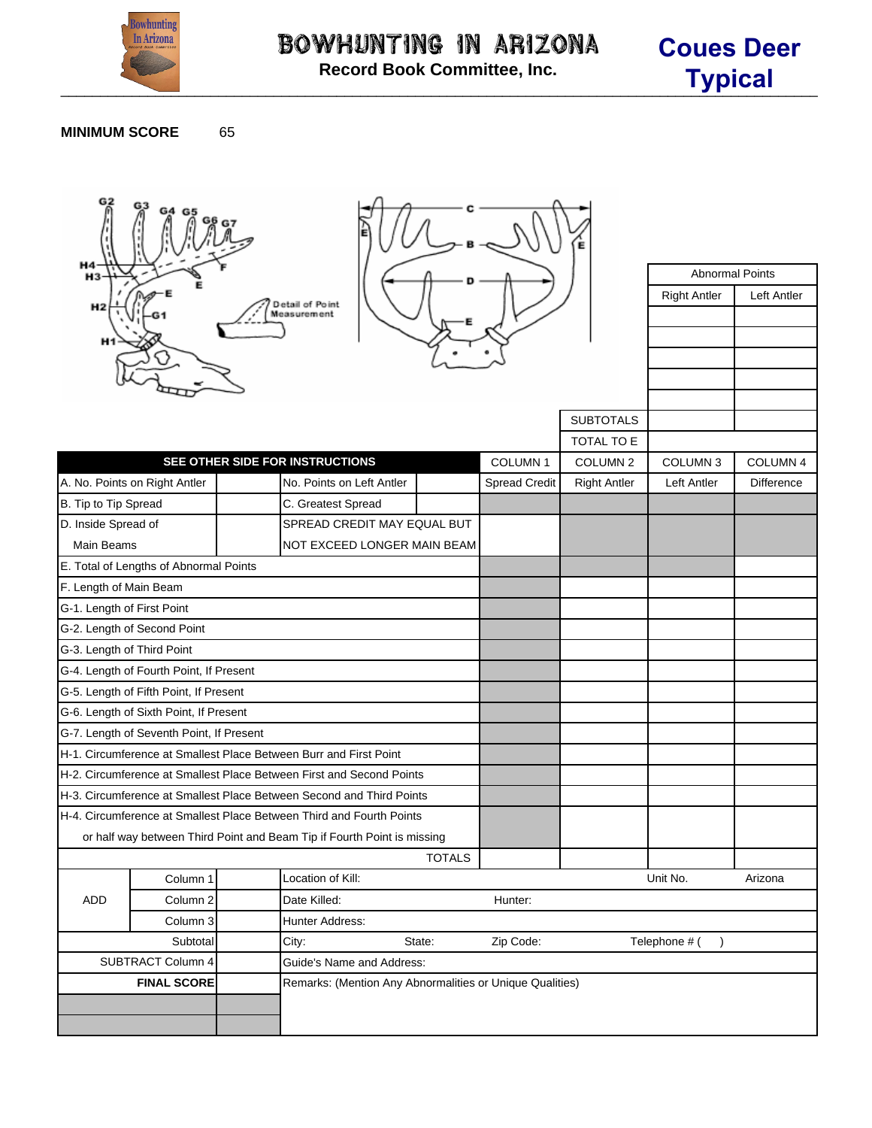

Abnormal Points Right Antler | Left Antler

## **MINIMUM SCORE** 65





|                                                                      |                                          |       | Measurement                                                             |               |                      |                            |                |                     |
|----------------------------------------------------------------------|------------------------------------------|-------|-------------------------------------------------------------------------|---------------|----------------------|----------------------------|----------------|---------------------|
|                                                                      |                                          |       |                                                                         |               |                      | <b>SUBTOTALS</b>           |                |                     |
|                                                                      |                                          |       |                                                                         |               |                      | TOTAL TO E                 |                |                     |
|                                                                      |                                          |       | SEE OTHER SIDE FOR INSTRUCTIONS                                         |               | <b>COLUMN1</b>       | COLUMN <sub>2</sub>        | <b>COLUMN3</b> | COLUMN <sub>4</sub> |
|                                                                      | A. No. Points on Right Antler            |       | No. Points on Left Antler                                               |               | <b>Spread Credit</b> | <b>Right Antler</b>        | Left Antler    | <b>Difference</b>   |
| B. Tip to Tip Spread                                                 |                                          |       | C. Greatest Spread                                                      |               |                      |                            |                |                     |
| D. Inside Spread of                                                  |                                          |       | SPREAD CREDIT MAY EQUAL BUT                                             |               |                      |                            |                |                     |
| <b>Main Beams</b>                                                    |                                          |       | NOT EXCEED LONGER MAIN BEAM                                             |               |                      |                            |                |                     |
|                                                                      | E. Total of Lengths of Abnormal Points   |       |                                                                         |               |                      |                            |                |                     |
| F. Length of Main Beam                                               |                                          |       |                                                                         |               |                      |                            |                |                     |
| G-1. Length of First Point                                           |                                          |       |                                                                         |               |                      |                            |                |                     |
|                                                                      | G-2. Length of Second Point              |       |                                                                         |               |                      |                            |                |                     |
| G-3. Length of Third Point                                           |                                          |       |                                                                         |               |                      |                            |                |                     |
|                                                                      | G-4. Length of Fourth Point, If Present  |       |                                                                         |               |                      |                            |                |                     |
|                                                                      | G-5. Length of Fifth Point, If Present   |       |                                                                         |               |                      |                            |                |                     |
|                                                                      | G-6. Length of Sixth Point, If Present   |       |                                                                         |               |                      |                            |                |                     |
|                                                                      | G-7. Length of Seventh Point, If Present |       |                                                                         |               |                      |                            |                |                     |
|                                                                      |                                          |       | H-1. Circumference at Smallest Place Between Burr and First Point       |               |                      |                            |                |                     |
|                                                                      |                                          |       | H-2. Circumference at Smallest Place Between First and Second Points    |               |                      |                            |                |                     |
|                                                                      |                                          |       | H-3. Circumference at Smallest Place Between Second and Third Points    |               |                      |                            |                |                     |
| H-4. Circumference at Smallest Place Between Third and Fourth Points |                                          |       |                                                                         |               |                      |                            |                |                     |
|                                                                      |                                          |       | or half way between Third Point and Beam Tip if Fourth Point is missing |               |                      |                            |                |                     |
|                                                                      |                                          |       |                                                                         | <b>TOTALS</b> |                      |                            |                |                     |
| <b>ADD</b>                                                           | Column <sub>1</sub>                      |       | Location of Kill:                                                       |               |                      |                            | Unit No.       | Arizona             |
|                                                                      | Column <sub>2</sub>                      |       | Date Killed:                                                            |               | Hunter:              |                            |                |                     |
|                                                                      | Column <sub>3</sub>                      |       | Hunter Address:                                                         |               |                      |                            |                |                     |
| Subtotal                                                             |                                          | City: | State:                                                                  | Zip Code:     |                      | Telephone # (<br>$\lambda$ |                |                     |
| <b>SUBTRACT Column 4</b>                                             |                                          |       | Guide's Name and Address:                                               |               |                      |                            |                |                     |
|                                                                      | <b>FINAL SCORE</b>                       |       | Remarks: (Mention Any Abnormalities or Unique Qualities)                |               |                      |                            |                |                     |
|                                                                      |                                          |       |                                                                         |               |                      |                            |                |                     |